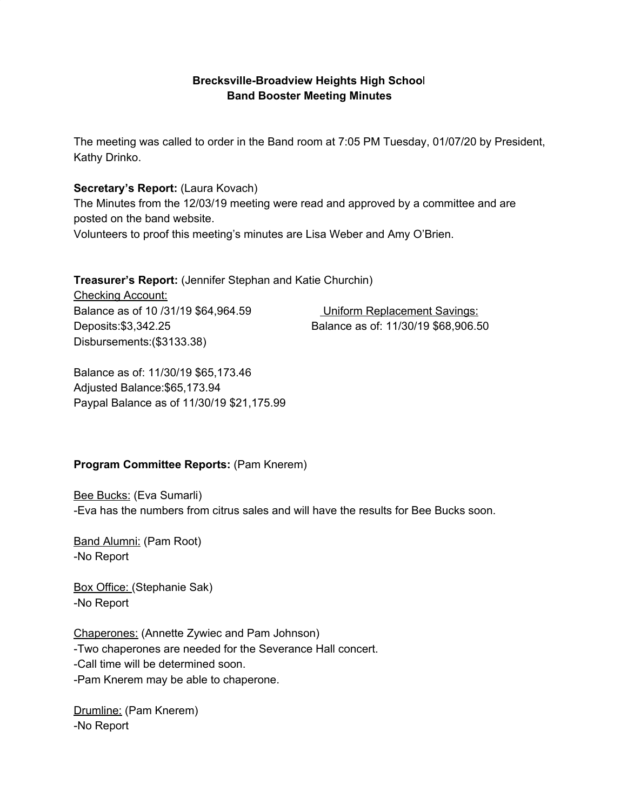### **Brecksville-Broadview Heights High Schoo**l **Band Booster Meeting Minutes**

The meeting was called to order in the Band room at 7:05 PM Tuesday, 01/07/20 by President, Kathy Drinko.

#### **Secretary's Report:** (Laura Kovach)

The Minutes from the 12/03/19 meeting were read and approved by a committee and are posted on the band website.

Volunteers to proof this meeting's minutes are Lisa Weber and Amy O'Brien.

**Treasurer's Report:** (Jennifer Stephan and Katie Churchin)

Checking Account: Balance as of 10 /31/19 \$64,964.59 Uniform Replacement Savings: Deposits:\$3,342.25 Balance as of: 11/30/19 \$68,906.50 Disbursements:(\$3133.38)

Balance as of: 11/30/19 \$65,173.46 Adjusted Balance:\$65,173.94 Paypal Balance as of 11/30/19 \$21,175.99

### **Program Committee Reports:** (Pam Knerem)

**Bee Bucks: (Eva Sumarli)** -Eva has the numbers from citrus sales and will have the results for Bee Bucks soon.

Band Alumni: (Pam Root) -No Report

Box Office: (Stephanie Sak) -No Report

Chaperones: (Annette Zywiec and Pam Johnson) -Two chaperones are needed for the Severance Hall concert. -Call time will be determined soon. -Pam Knerem may be able to chaperone.

Drumline: (Pam Knerem) -No Report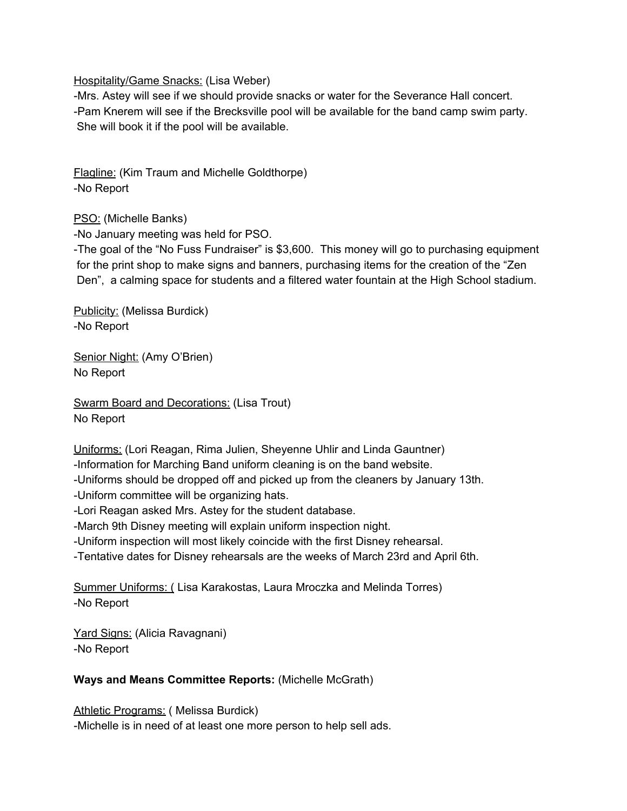Hospitality/Game Snacks: (Lisa Weber)

-Mrs. Astey will see if we should provide snacks or water for the Severance Hall concert. -Pam Knerem will see if the Brecksville pool will be available for the band camp swim party. She will book it if the pool will be available.

Flagline: (Kim Traum and Michelle Goldthorpe) -No Report

PSO: (Michelle Banks)

-No January meeting was held for PSO.

-The goal of the "No Fuss Fundraiser" is \$3,600. This money will go to purchasing equipment for the print shop to make signs and banners, purchasing items for the creation of the "Zen Den", a calming space for students and a filtered water fountain at the High School stadium.

Publicity: (Melissa Burdick) -No Report

Senior Night: (Amy O'Brien) No Report

Swarm Board and Decorations: (Lisa Trout) No Report

Uniforms: (Lori Reagan, Rima Julien, Sheyenne Uhlir and Linda Gauntner)

-Information for Marching Band uniform cleaning is on the band website.

-Uniforms should be dropped off and picked up from the cleaners by January 13th.

-Uniform committee will be organizing hats.

-Lori Reagan asked Mrs. Astey for the student database.

-March 9th Disney meeting will explain uniform inspection night.

-Uniform inspection will most likely coincide with the first Disney rehearsal.

-Tentative dates for Disney rehearsals are the weeks of March 23rd and April 6th.

Summer Uniforms: ( Lisa Karakostas, Laura Mroczka and Melinda Torres) -No Report

Yard Signs: (Alicia Ravagnani) -No Report

### **Ways and Means Committee Reports:** (Michelle McGrath)

Athletic Programs: ( Melissa Burdick) -Michelle is in need of at least one more person to help sell ads.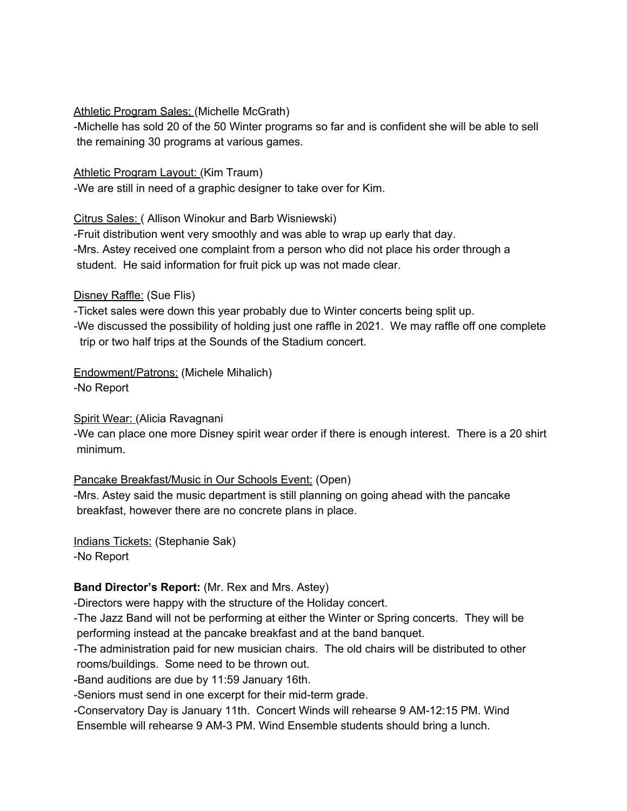#### Athletic Program Sales: (Michelle McGrath)

-Michelle has sold 20 of the 50 Winter programs so far and is confident she will be able to sell the remaining 30 programs at various games.

#### Athletic Program Layout: (Kim Traum)

-We are still in need of a graphic designer to take over for Kim.

Citrus Sales: ( Allison Winokur and Barb Wisniewski)

-Fruit distribution went very smoothly and was able to wrap up early that day. -Mrs. Astey received one complaint from a person who did not place his order through a student. He said information for fruit pick up was not made clear.

### Disney Raffle: (Sue Flis)

-Ticket sales were down this year probably due to Winter concerts being split up. -We discussed the possibility of holding just one raffle in 2021. We may raffle off one complete trip or two half trips at the Sounds of the Stadium concert.

# Endowment/Patrons: (Michele Mihalich)

-No Report

### Spirit Wear: (Alicia Ravagnani

-We can place one more Disney spirit wear order if there is enough interest. There is a 20 shirt minimum.

# Pancake Breakfast/Music in Our Schools Event: (Open)

-Mrs. Astey said the music department is still planning on going ahead with the pancake breakfast, however there are no concrete plans in place.

Indians Tickets: (Stephanie Sak) -No Report

### **Band Director's Report:** (Mr. Rex and Mrs. Astey)

-Directors were happy with the structure of the Holiday concert.

-The Jazz Band will not be performing at either the Winter or Spring concerts. They will be performing instead at the pancake breakfast and at the band banquet.

-The administration paid for new musician chairs. The old chairs will be distributed to other rooms/buildings. Some need to be thrown out.

-Band auditions are due by 11:59 January 16th.

-Seniors must send in one excerpt for their mid-term grade.

-Conservatory Day is January 11th. Concert Winds will rehearse 9 AM-12:15 PM. Wind Ensemble will rehearse 9 AM-3 PM. Wind Ensemble students should bring a lunch.